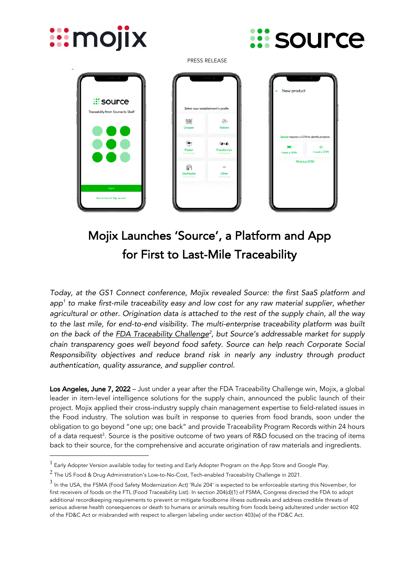

# Mojix Launches 'Source', a Platform and App for First to Last-Mile Traceability

*Today, at the GS1 Connect conference, Mojix revealed Source: the first SaaS platform and app1 to make first-mile traceability easy and low cost for any raw material supplier, whether agricultural or other. Origination data is attached to the rest of the supply chain, all the way to the last mile, for end-to-end visibility. The multi-enterprise traceability platform was built on the back of the FDA Traceability Challenge2 , but Source's addressable market for supply chain transparency goes well beyond food safety. Source can help reach Corporate Social Responsibility objectives and reduce brand risk in nearly any industry through product authentication, quality assurance, and supplier control.*

Los Angeles, June 7, 2022 – Just under a year after the FDA Traceability Challenge win, Mojix, a global leader in item-level intelligence solutions for the supply chain, announced the public launch of their project. Mojix applied their cross-industry supply chain management expertise to field-related issues in the Food industry. The solution was built in response to queries from food brands, soon under the obligation to go beyond "one up; one back" and provide Traceability Program Records within 24 hours of a data request<sup>3</sup>. Source is the positive outcome of two years of R&D focused on the tracing of items back to their source, for the comprehensive and accurate origination of raw materials and ingredients.

<sup>&</sup>lt;sup>1</sup> Early Adopter Version available today for testing and Early Adopter Program on the App Store and Google Play.

 $2$  The US Food & Drug Administration's Low-to-No-Cost, Tech-enabled Traceability Challenge in 2021.

<sup>3</sup> In the USA, the FSMA (Food Safety Modernization Act) 'Rule 204' is expected to be enforceable starting this November, for first receivers of foods on the FTL (Food Traceability List). In section 204(d)(1) of FSMA, Congress directed the FDA to adopt additional recordkeeping requirements to prevent or mitigate foodborne illness outbreaks and address credible threats of serious adverse health consequences or death to humans or animals resulting from foods being adulterated under section 402 of the FD&C Act or misbranded with respect to allergen labeling under section 403(w) of the FD&C Act.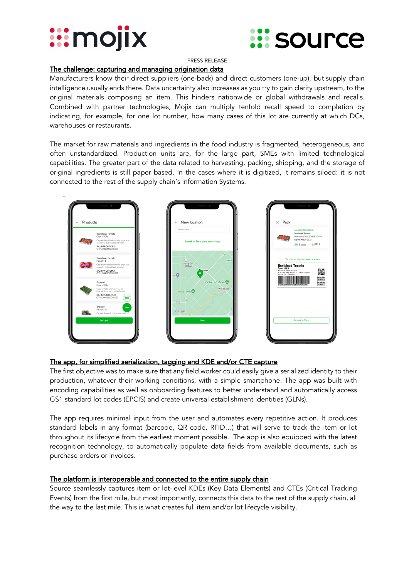



PRESS RELEASE

### The challenge: capturing and managing origination data

Manufacturers know their direct suppliers (one-back) and direct customers (one-up), but supply chain intelligence usually ends there. Data uncertainty also increases as you try to gain clarity upstream, to the original materials composing an item. This hinders nationwide or global withdrawals and recalls. Combined with partner technologies, Mojix can multiply tenfold recall speed to completion by indicating, for example, for one lot number, how many cases of this lot are currently at which DCs, warehouses or restaurants.

The market for raw materials and ingredients in the food industry is fragmented, heterogeneous, and often unstandardized. Production units are, for the large part, SMEs with limited technological capabilities. The greater part of the data related to harvesting, packing, shipping, and the storage of original ingredients is still paper based. In the cases where it is digitized, it remains siloed: it is not connected to the rest of the supply chain's Information Systems.



# The app, for simplified serialization, tagging and KDE and/or CTE capture

The first objective was to make sure that any field worker could easily give a serialized identity to their production, whatever their working conditions, with a simple smartphone. The app was built with encoding capabilities as well as onboarding features to better understand and automatically access GS1 standard lot codes (EPCIS) and create universal establishment identities (GLNs).

The app requires minimal input from the user and automates every repetitive action. It produces standard labels in any format (barcode, QR code, RFID…) that will serve to track the item or lot throughout its lifecycle from the earliest moment possible. The app is also equipped with the latest recognition technology, to automatically populate data fields from available documents, such as purchase orders or invoices.

#### The platform is interoperable and connected to the entire supply chain

Source seamlessly captures item or lot-level KDEs (Key Data Elements) and CTEs (Critical Tracking Events) from the first mile, but most importantly, connects this data to the rest of the supply chain, all the way to the last mile. This is what creates full item and/or lot lifecycle visibility.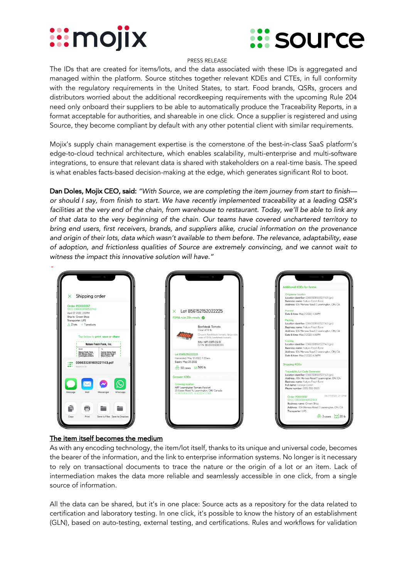# *:::***mojix**



#### PRESS RELEASE

The IDs that are created for items/lots, and the data associated with these IDs is aggregated and managed within the platform. Source stitches together relevant KDEs and CTEs, in full conformity with the regulatory requirements in the United States, to start. Food brands, QSRs, grocers and distributors worried about the additional recordkeeping requirements with the upcoming Rule 204 need only onboard their suppliers to be able to automatically produce the Traceability Reports, in a format acceptable for authorities, and shareable in one click. Once a supplier is registered and using Source, they become compliant by default with any other potential client with similar requirements.

Mojix's supply chain management expertise is the cornerstone of the best-in-class SaaS platform's edge-to-cloud technical architecture, which enables scalability, multi-enterprise and multi-software integrations, to ensure that relevant data is shared with stakeholders on a real-time basis. The speed is what enables facts-based decision-making at the edge, which generates significant RoI to boot.

Dan Doles, Mojix CEO, said: *"With Source, we are completing the item journey from start to finish or should I say, from finish to start. We have recently implemented traceability at a leading QSR's facilities at the very end of the chain, from warehouse to restaurant. Today, we'll be able to link any of that data to the very beginning of the chain. Our teams have covered unchartered territory to bring end users, first receivers, brands, and suppliers alike, crucial information on the provenance and origin of their lots, data which wasn't available to them before. The relevance, adaptability, ease of adoption, and frictionless qualities of Source are extremely convincing, and we cannot wait to witness the impact this innovative solution will have."*



# The item itself becomes the medium

As with any encoding technology, the item/lot itself, thanks to its unique and universal code, becomes the bearer of the information, and the link to enterprise information systems. No longer is it necessary to rely on transactional documents to trace the nature or the origin of a lot or an item. Lack of intermediation makes the data more reliable and seamlessly accessible in one click, from a single source of information.

All the data can be shared, but it's in one place: Source acts as a repository for the data related to certification and laboratory testing. In one click, it's possible to know the history of an establishment (GLN), based on auto-testing, external testing, and certifications. Rules and workflows for validation